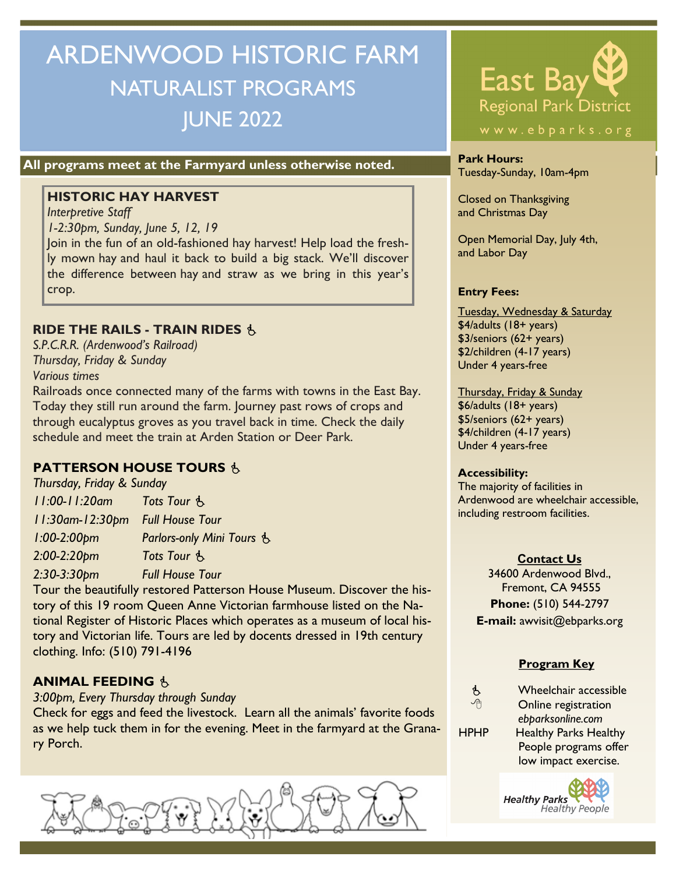# ARDENWOOD HISTORIC FARM NATURALIST PROGRAMS JUNE 2022

### **All programs meet at the Farmyard unless otherwise noted.** Park Hours:

#### **HISTORIC HAY HARVEST**

*Interpretive Staff 1-2:30pm, Sunday, June 5, 12, 19* Join in the fun of an old-fashioned hay harvest! Help load the fresh-

ly mown hay and haul it back to build a big stack. We'll discover the difference between hay and straw as we bring in this year's crop.

#### **RIDE THE RAILS - TRAIN RIDES**

*S.P.C.R.R. (Ardenwood's Railroad) Thursday, Friday & Sunday Various times*

Railroads once connected many of the farms with towns in the East Bay. Today they still run around the farm. Journey past rows of crops and through eucalyptus groves as you travel back in time. Check the daily schedule and meet the train at Arden Station or Deer Park.

### **PATTERSON HOUSE TOURS &**

*Thursday, Friday & Sunday 11:00-11:20am Tots Tour 11:30am-12:30pm Full House Tour 1:00-2:00pm Parlors-only Mini Tours 2:00-2:20pm Tots Tour 2:30-3:30pm Full House Tour*

Tour the beautifully restored Patterson House Museum. Discover the history of this 19 room Queen Anne Victorian farmhouse listed on the National Register of Historic Places which operates as a museum of local history and Victorian life. Tours are led by docents dressed in 19th century clothing. Info: (510) 791-4196

#### **ANIMAL FEEDING**

*3:00pm, Every Thursday through Sunday*

Check for eggs and feed the livestock. Learn all the animals' favorite foods as we help tuck them in for the evening. Meet in the farmyard at the Granary Porch.





Tuesday-Sunday, 10am-4pm

Closed on Thanksgiving and Christmas Day

Open Memorial Day, July 4th, and Labor Day

#### **Entry Fees:**

Tuesday, Wednesday & Saturday \$4/adults (18+ years) \$3/seniors (62+ years) \$2/children (4-17 years) Under 4 years-free

Thursday, Friday & Sunday \$6/adults (18+ years) \$5/seniors (62+ years) \$4/children (4-17 years) Under 4 years-free

#### **Accessibility:**

The majority of facilities in Ardenwood are wheelchair accessible, including restroom facilities.

#### **Contact Us**

34600 Ardenwood Blvd., Fremont, CA 94555 **Phone:** (510) 544-2797 **E-mail:** awvisit@ebparks.org

#### **Program Key**

 $\mathbf{\hat{\mathcal{B}}}$  Wheelchair accessible<br>  $\mathbf{\hat{\mathcal{B}}}$  Opling registration Online registration *ebparksonline.com* HPHP Healthy Parks Healthy People programs offer low impact exercise.